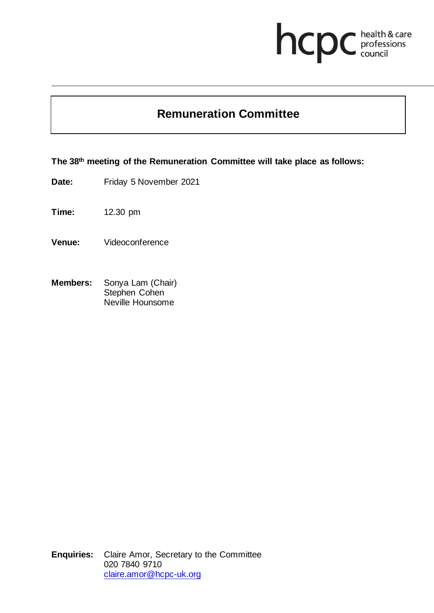# hcpc health & care

## **Remuneration Committee**

**The 38th meeting of the Remuneration Committee will take place as follows:**

**Date:** Friday 5 November 2021

**Time:** 12.30 pm

- **Venue:** Videoconference
- **Members:** Sonya Lam (Chair) Stephen Cohen Neville Hounsome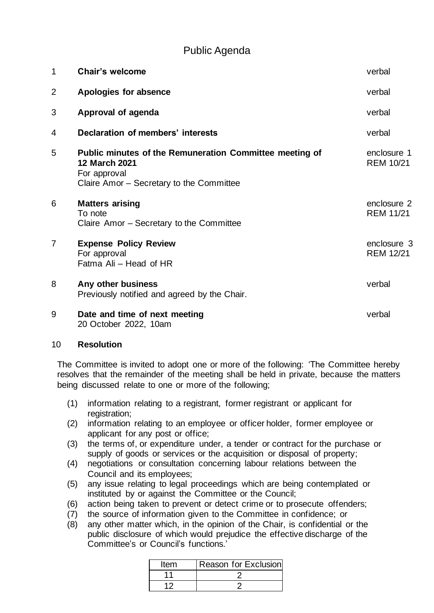### Public Agenda

| $\mathbf 1$ | <b>Chair's welcome</b>                                                                                                                             | verbal                          |
|-------------|----------------------------------------------------------------------------------------------------------------------------------------------------|---------------------------------|
| 2           | Apologies for absence                                                                                                                              | verbal                          |
| 3           | Approval of agenda                                                                                                                                 | verbal                          |
| 4           | Declaration of members' interests                                                                                                                  | verbal                          |
| 5           | <b>Public minutes of the Remuneration Committee meeting of</b><br><b>12 March 2021</b><br>For approval<br>Claire Amor - Secretary to the Committee | enclosure 1<br><b>REM 10/21</b> |
| 6           | <b>Matters arising</b><br>To note<br>Claire Amor - Secretary to the Committee                                                                      | enclosure 2<br><b>REM 11/21</b> |
| 7           | <b>Expense Policy Review</b><br>For approval<br>Fatma Ali - Head of HR                                                                             | enclosure 3<br><b>REM 12/21</b> |
| 8           | Any other business<br>Previously notified and agreed by the Chair.                                                                                 | verbal                          |
| 9           | Date and time of next meeting<br>20 October 2022, 10am                                                                                             | verbal                          |

#### 10 **Resolution**

The Committee is invited to adopt one or more of the following: 'The Committee hereby resolves that the remainder of the meeting shall be held in private, because the matters being discussed relate to one or more of the following;

- (1) information relating to a registrant, former registrant or applicant for registration;
- (2) information relating to an employee or officer holder, former employee or applicant for any post or office;
- (3) the terms of, or expenditure under, a tender or contract for the purchase or supply of goods or services or the acquisition or disposal of property;
- (4) negotiations or consultation concerning labour relations between the Council and its employees;
- (5) any issue relating to legal proceedings which are being contemplated or instituted by or against the Committee or the Council;
- (6) action being taken to prevent or detect crime or to prosecute offenders;
- (7) the source of information given to the Committee in confidence; or
- (8) any other matter which, in the opinion of the Chair, is confidential or the public disclosure of which would prejudice the effective discharge of the Committee's or Council's functions.'

| Item | Reason for Exclusion |
|------|----------------------|
|      |                      |
|      |                      |